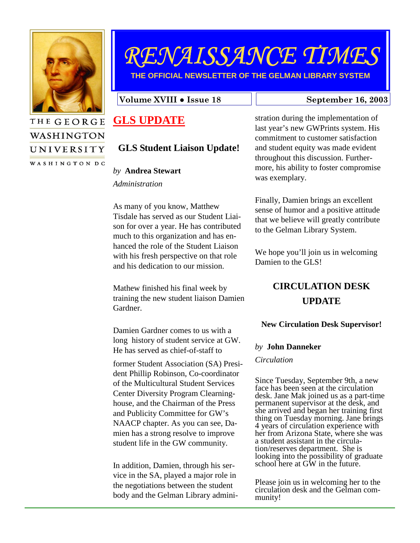

WASHINGTON

UNIVERSITY WASHINGTON DC

# RENAISSANCE TIMES

**THE OFFICIAL NEWSLETTER OF THE GELMAN LIBRARY SYSTEM** 

Volume XVIII • Issue 18 September 16, 2003

# **GLS UPDATE**

# **GLS Student Liaison Update!**

#### *by* **Andrea Stewart**

*Administration* 

As many of you know, Matthew Tisdale has served as our Student Liaison for over a year. He has contributed much to this organization and has enhanced the role of the Student Liaison with his fresh perspective on that role and his dedication to our mission.

Mathew finished his final week by training the new student liaison Damien Gardner.

Damien Gardner comes to us with a long history of student service at GW. He has served as chief-of-staff to

former Student Association (SA) President Phillip Robinson, Co-coordinator of the Multicultural Student Services Center Diversity Program Clearninghouse, and the Chairman of the Press and Publicity Committee for GW's NAACP chapter. As you can see, Damien has a strong resolve to improve student life in the GW community.

In addition, Damien, through his service in the SA, played a major role in the negotiations between the student body and the Gelman Library admini-

stration during the implementation of last year's new GWPrints system. His commitment to customer satisfaction and student equity was made evident throughout this discussion. Furthermore, his ability to foster compromise was exemplary.

Finally, Damien brings an excellent sense of humor and a positive attitude that we believe will greatly contribute to the Gelman Library System.

We hope you'll join us in welcoming Damien to the GLS!

# **CIRCULATION DESK UPDATE**

#### **New Circulation Desk Supervisor!**

#### *by* **John Danneker**

*Circulation* 

Since Tuesday, September 9th, a new face has been seen at the circulation desk. Jane Mak joined us as a part-time permanent supervisor at the desk, and she arrived and began her training first thing on Tuesday morning. Jane brings 4 years of circulation experience with her from Arizona State, where she was a student assistant in the circulation/reserves department. She is looking into the possibility of graduate school here at GW in the future.

Please join us in welcoming her to the circulation desk and the Gelman community!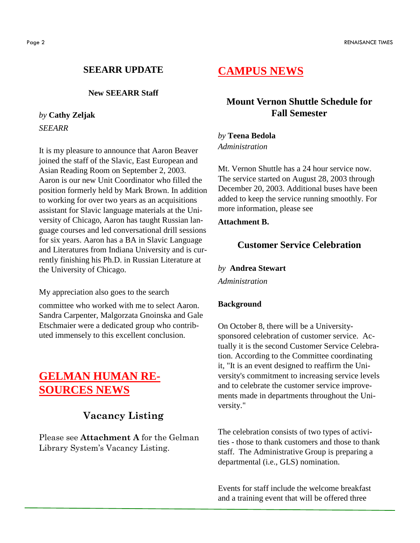#### **SEEARR UPDATE**

#### **New SEEARR Staff**

# *by* **Cathy Zeljak**

*SEEARR* 

It is my pleasure to announce that Aaron Beaver joined the staff of the Slavic, East European and Asian Reading Room on September 2, 2003. Aaron is our new Unit Coordinator who filled the position formerly held by Mark Brown. In addition to working for over two years as an acquisitions assistant for Slavic language materials at the University of Chicago, Aaron has taught Russian language courses and led conversational drill sessions for six years. Aaron has a BA in Slavic Language and Literatures from Indiana University and is currently finishing his Ph.D. in Russian Literature at the University of Chicago.

My appreciation also goes to the search

committee who worked with me to select Aaron. Sandra Carpenter, Malgorzata Gnoinska and Gale Etschmaier were a dedicated group who contributed immensely to this excellent conclusion.

# **GELMAN HUMAN RE-SOURCES NEWS**

## Vacancy Listing

Please see Attachment A for the Gelman Library System's Vacancy Listing.

# **CAMPUS NEWS**

### **Mount Vernon Shuttle Schedule for Fall Semester**

*by* **Teena Bedola**  *Administration* 

Mt. Vernon Shuttle has a 24 hour service now. The service started on August 28, 2003 through December 20, 2003. Additional buses have been added to keep the service running smoothly. For more information, please see

#### **Attachment B.**

#### **Customer Service Celebration**

*by* **Andrea Stewart** 

*Administration* 

#### **Background**

On October 8, there will be a Universitysponsored celebration of customer service. Actually it is the second Customer Service Celebration. According to the Committee coordinating it, "It is an event designed to reaffirm the University's commitment to increasing service levels and to celebrate the customer service improvements made in departments throughout the University."

The celebration consists of two types of activities - those to thank customers and those to thank staff. The Administrative Group is preparing a departmental (i.e., GLS) nomination.

Events for staff include the welcome breakfast and a training event that will be offered three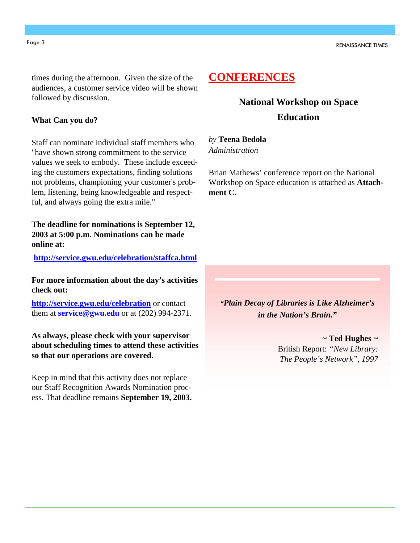times during the afternoon. Given the size of the audiences, a customer service video will be shown followed by discussion.

#### **What Can you do?**

Staff can nominate individual staff members who "have shown strong commitment to the service values we seek to embody. These include exceeding the customers expectations, finding solutions not problems, championing your customer's problem, listening, being knowledgeable and respectful, and always going the extra mile."

**The deadline for nominations is September 12, 2003 at 5:00 p.m. Nominations can be made online at:** 

**http://service.gwu.edu/celebration/staffca.html**

**For more information about the day's activities check out:** 

**http://service.gwu.edu/celebration** or contact them at **service@gwu.edu** or at (202) 994-2371.

**As always, please check with your supervisor about scheduling times to attend these activities so that our operations are covered.** 

Keep in mind that this activity does not replace our Staff Recognition Awards Nomination process. That deadline remains **September 19, 2003.** 

# **CONFERENCES**

# **National Workshop on Space Education**

# *by* **Teena Bedola**

*Administration* 

Brian Mathews' conference report on the National Workshop on Space education is attached as **Attachment C**.

*"Plain Decay of Libraries is Like Alzheimer's in the Nation's Brain."* 

> *~* **Ted Hughes** *~* British Report: *"New Library: The People's Network", 1997*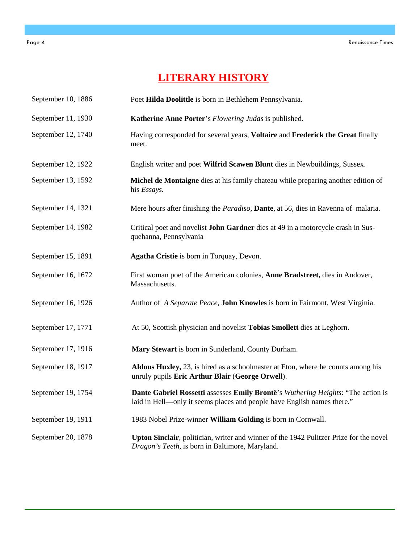# **LITERARY HISTORY**

| September 10, 1886 | Poet Hilda Doolittle is born in Bethlehem Pennsylvania.                                                                                                     |
|--------------------|-------------------------------------------------------------------------------------------------------------------------------------------------------------|
| September 11, 1930 | Katherine Anne Porter's Flowering Judas is published.                                                                                                       |
| September 12, 1740 | Having corresponded for several years, Voltaire and Frederick the Great finally<br>meet.                                                                    |
| September 12, 1922 | English writer and poet Wilfrid Scawen Blunt dies in Newbuildings, Sussex.                                                                                  |
| September 13, 1592 | Michel de Montaigne dies at his family chateau while preparing another edition of<br>his Essays.                                                            |
| September 14, 1321 | Mere hours after finishing the <i>Paradiso</i> , <b>Dante</b> , at 56, dies in Ravenna of malaria.                                                          |
| September 14, 1982 | Critical poet and novelist John Gardner dies at 49 in a motorcycle crash in Sus-<br>quehanna, Pennsylvania                                                  |
| September 15, 1891 | Agatha Cristie is born in Torquay, Devon.                                                                                                                   |
| September 16, 1672 | First woman poet of the American colonies, Anne Bradstreet, dies in Andover,<br>Massachusetts.                                                              |
| September 16, 1926 | Author of A Separate Peace, John Knowles is born in Fairmont, West Virginia.                                                                                |
| September 17, 1771 | At 50, Scottish physician and novelist Tobias Smollett dies at Leghorn.                                                                                     |
| September 17, 1916 | Mary Stewart is born in Sunderland, County Durham.                                                                                                          |
| September 18, 1917 | Aldous Huxley, 23, is hired as a schoolmaster at Eton, where he counts among his<br>unruly pupils Eric Arthur Blair (George Orwell).                        |
| September 19, 1754 | Dante Gabriel Rossetti assesses Emily Brontë's Wuthering Heights: "The action is<br>laid in Hell—only it seems places and people have English names there." |
| September 19, 1911 | 1983 Nobel Prize-winner William Golding is born in Cornwall.                                                                                                |
| September 20, 1878 | Upton Sinclair, politician, writer and winner of the 1942 Pulitzer Prize for the novel<br>Dragon's Teeth, is born in Baltimore, Maryland.                   |

 $\overline{a}$